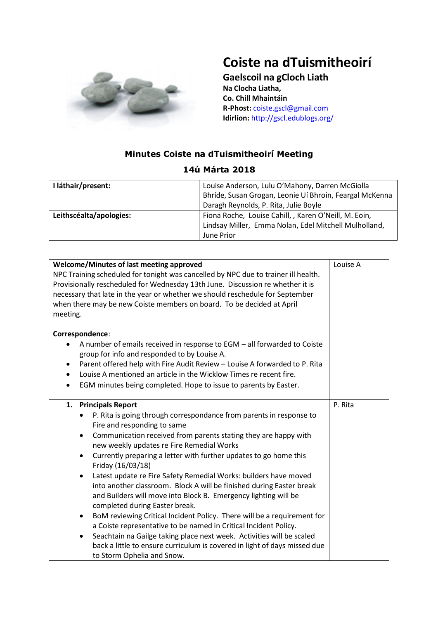

## **Coiste na dTuismitheoirí**

**Gaelscoil na gCloch Liath Na Clocha Liatha, Co. Chill Mhaintáin R-Phost:** [coiste.gscl@gmail.com](mailto:coiste.gscl@gmail.com) **Idirlíon:** <http://gscl.edublogs.org/>

## **Minutes Coiste na dTuismitheoirí Meeting**

| I láthair/present:      | Louise Anderson, Lulu O'Mahony, Darren McGiolla<br>Bhríde, Susan Grogan, Leonie Uí Bhroin, Feargal McKenna<br>Daragh Reynolds, P. Rita, Julie Boyle |
|-------------------------|-----------------------------------------------------------------------------------------------------------------------------------------------------|
| Leithscéalta/apologies: | Fiona Roche, Louise Cahill, , Karen O'Neill, M. Eoin,<br>Lindsay Miller, Emma Nolan, Edel Mitchell Mulholland,<br>June Prior                        |

## **Welcome/Minutes of last meeting approved** NPC Training scheduled for tonight was cancelled by NPC due to trainer ill health. Provisionally rescheduled for Wednesday 13th June. Discussion re whether it is necessary that late in the year or whether we should reschedule for September when there may be new Coiste members on board. To be decided at April meeting. **Correspondence**: • A number of emails received in response to EGM – all forwarded to Coiste group for info and responded to by Louise A. • Parent offered help with Fire Audit Review – Louise A forwarded to P. Rita • Louise A mentioned an article in the Wicklow Times re recent fire. • EGM minutes being completed. Hope to issue to parents by Easter. Louise A **1. Principals Report** • P. Rita is going through correspondance from parents in response to Fire and responding to same • Communication received from parents stating they are happy with new weekly updates re Fire Remedial Works • Currently preparing a letter with further updates to go home this Friday (16/03/18) • Latest update re Fire Safety Remedial Works: builders have moved into another classroom. Block A will be finished during Easter break and Builders will move into Block B. Emergency lighting will be completed during Easter break. • BoM reviewing Critical Incident Policy. There will be a requirement for a Coiste representative to be named in Critical Incident Policy. • Seachtain na Gailge taking place next week. Activities will be scaled back a little to ensure curriculum is covered in light of days missed due to Storm Ophelia and Snow. P. Rita

## **14ú Márta 2018**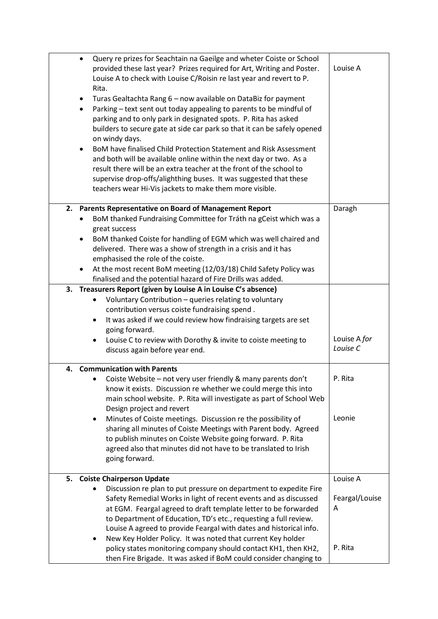| It was asked if we could review how findraising targets are set<br>$\bullet$<br>going forward.<br>Louise C to review with Dorothy & invite to coiste meeting to<br>$\bullet$<br>discuss again before year end.<br><b>Communication with Parents</b><br>4.<br>Coiste Website - not very user friendly & many parents don't                                                                                                                                                | Louise A for<br>Louise C<br>P. Rita |
|--------------------------------------------------------------------------------------------------------------------------------------------------------------------------------------------------------------------------------------------------------------------------------------------------------------------------------------------------------------------------------------------------------------------------------------------------------------------------|-------------------------------------|
| know it exists. Discussion re whether we could merge this into<br>main school website. P. Rita will investigate as part of School Web<br>Design project and revert<br>Minutes of Coiste meetings. Discussion re the possibility of<br>sharing all minutes of Coiste Meetings with Parent body. Agreed<br>to publish minutes on Coiste Website going forward. P. Rita<br>agreed also that minutes did not have to be translated to Irish<br>going forward.                | Leonie                              |
| <b>Coiste Chairperson Update</b><br>5.<br>Discussion re plan to put pressure on department to expedite Fire<br>Safety Remedial Works in light of recent events and as discussed<br>at EGM. Feargal agreed to draft template letter to be forwarded<br>to Department of Education, TD's etc., requesting a full review.<br>Louise A agreed to provide Feargal with dates and historical info.<br>New Key Holder Policy. It was noted that current Key holder<br>$\bullet$ | Louise A<br>Feargal/Louise<br>A     |
| policy states monitoring company should contact KH1, then KH2,                                                                                                                                                                                                                                                                                                                                                                                                           | P. Rita                             |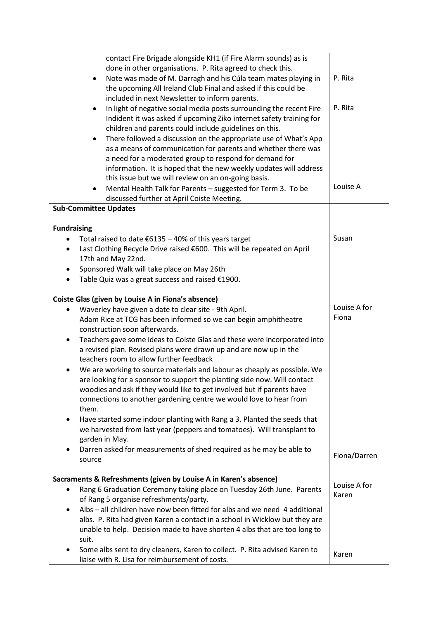| contact Fire Brigade alongside KH1 (if Fire Alarm sounds) as is                                                                                                                                                                                                                                                                                             |                       |
|-------------------------------------------------------------------------------------------------------------------------------------------------------------------------------------------------------------------------------------------------------------------------------------------------------------------------------------------------------------|-----------------------|
| done in other organisations. P. Rita agreed to check this.<br>Note was made of M. Darragh and his Cúla team mates playing in<br>٠<br>the upcoming All Ireland Club Final and asked if this could be<br>included in next Newsletter to inform parents.                                                                                                       | P. Rita               |
| In light of negative social media posts surrounding the recent Fire<br>٠<br>Indident it was asked if upcoming Ziko internet safety training for<br>children and parents could include guidelines on this.<br>There followed a discussion on the appropriate use of What's App<br>$\bullet$<br>as a means of communication for parents and whether there was | P. Rita               |
| a need for a moderated group to respond for demand for<br>information. It is hoped that the new weekly updates will address<br>this issue but we will review on an on-going basis.                                                                                                                                                                          |                       |
| Mental Health Talk for Parents - suggested for Term 3. To be<br>٠<br>discussed further at April Coiste Meeting.<br><b>Sub-Committee Updates</b>                                                                                                                                                                                                             | Louise A              |
|                                                                                                                                                                                                                                                                                                                                                             |                       |
| <b>Fundraising</b><br>Total raised to date $€6135 - 40%$ of this years target<br>Last Clothing Recycle Drive raised €600. This will be repeated on April<br>$\bullet$<br>17th and May 22nd.<br>Sponsored Walk will take place on May 26th<br>٠<br>Table Quiz was a great success and raised €1900.<br>$\bullet$                                             | Susan                 |
| Coiste Glas (given by Louise A in Fiona's absence)                                                                                                                                                                                                                                                                                                          |                       |
| Waverley have given a date to clear site - 9th April.<br>Adam Rice at TCG has been informed so we can begin amphitheatre<br>construction soon afterwards.<br>Teachers gave some ideas to Coiste Glas and these were incorporated into<br>٠<br>a revised plan. Revised plans were drawn up and are now up in the                                             | Louise A for<br>Fiona |
| teachers room to allow further feedback<br>We are working to source materials and labour as cheaply as possible. We<br>are looking for a sponsor to support the planting side now. Will contact<br>woodies and ask if they would like to get involved but if parents have<br>connections to another gardening centre we would love to hear from<br>them.    |                       |
| Have started some indoor planting with Rang a 3. Planted the seeds that<br>we harvested from last year (peppers and tomatoes). Will transplant to<br>garden in May.                                                                                                                                                                                         |                       |
| Darren asked for measurements of shed required as he may be able to<br>source                                                                                                                                                                                                                                                                               | Fiona/Darren          |
| Sacraments & Refreshments (given by Louise A in Karen's absence)                                                                                                                                                                                                                                                                                            |                       |
| Rang 6 Graduation Ceremony taking place on Tuesday 26th June. Parents<br>٠                                                                                                                                                                                                                                                                                  | Louise A for<br>Karen |
| of Rang 5 organise refreshments/party.<br>Albs - all children have now been fitted for albs and we need 4 additional                                                                                                                                                                                                                                        |                       |
| albs. P. Rita had given Karen a contact in a school in Wicklow but they are                                                                                                                                                                                                                                                                                 |                       |
| unable to help. Decision made to have shorten 4 albs that are too long to<br>suit.                                                                                                                                                                                                                                                                          |                       |
| Some albs sent to dry cleaners, Karen to collect. P. Rita advised Karen to<br>liaise with R. Lisa for reimbursement of costs.                                                                                                                                                                                                                               | Karen                 |